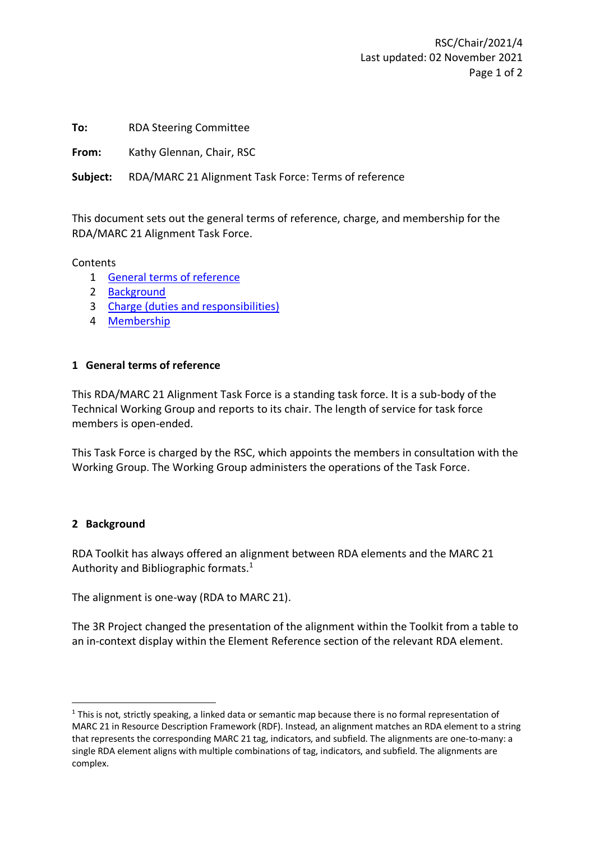**To:** RDA Steering Committee

**From:** Kathy Glennan, Chair, RSC

**Subject:** RDA/MARC 21 Alignment Task Force: Terms of reference

This document sets out the general terms of reference, charge, and membership for the RDA/MARC 21 Alignment Task Force.

Contents

- 1 [General terms of reference](#page-0-0)
- 2 [Background](#page-0-1)
- 3 [Charge \(duties and responsibilities\)](#page-1-0)
- 4 [Membership](#page-1-1)

## <span id="page-0-0"></span>**1 General terms of reference**

This RDA/MARC 21 Alignment Task Force is a standing task force. It is a sub-body of the Technical Working Group and reports to its chair. The length of service for task force members is open-ended.

This Task Force is charged by the RSC, which appoints the members in consultation with the Working Group. The Working Group administers the operations of the Task Force.

## <span id="page-0-1"></span>**2 Background**

RDA Toolkit has always offered an alignment between RDA elements and the MARC 21 Authority and Bibliographic formats.<sup>1</sup>

The alignment is one-way (RDA to MARC 21).

The 3R Project changed the presentation of the alignment within the Toolkit from a table to an in-context display within the Element Reference section of the relevant RDA element.

 $1$  This is not, strictly speaking, a linked data or semantic map because there is no formal representation of MARC 21 in Resource Description Framework (RDF). Instead, an alignment matches an RDA element to a string that represents the corresponding MARC 21 tag, indicators, and subfield. The alignments are one-to-many: a single RDA element aligns with multiple combinations of tag, indicators, and subfield. The alignments are complex.